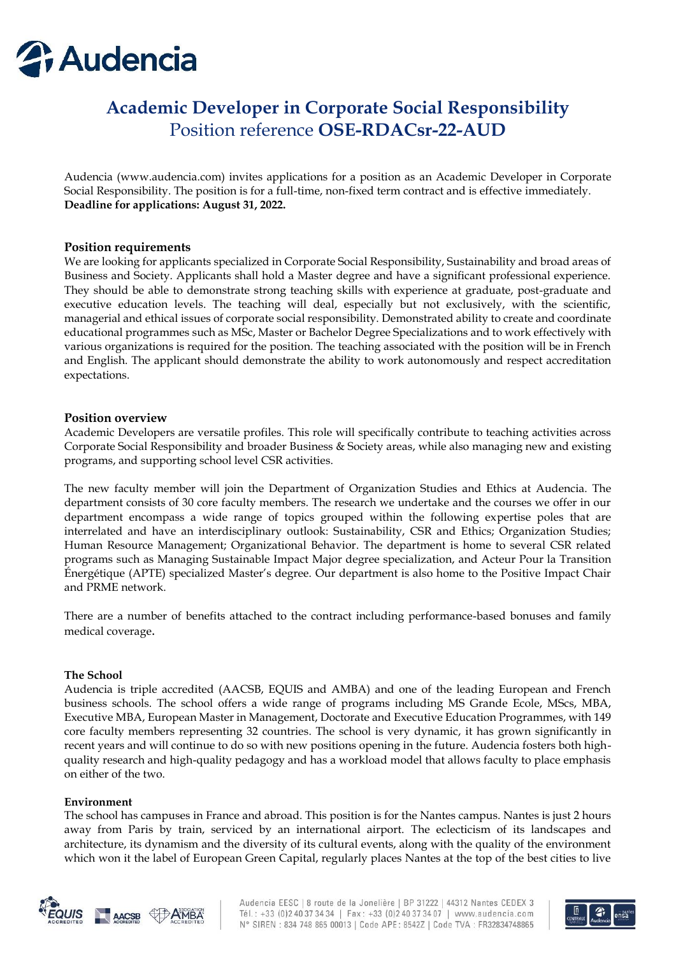

# **Academic Developer in Corporate Social Responsibility** Position reference **OSE-RDACsr-22-AUD**

Audencia (www.audencia.com) invites applications for a position as an Academic Developer in Corporate Social Responsibility. The position is for a full-time, non-fixed term contract and is effective immediately. **Deadline for applications: August 31, 2022.**

### **Position requirements**

We are looking for applicants specialized in Corporate Social Responsibility, Sustainability and broad areas of Business and Society. Applicants shall hold a Master degree and have a significant professional experience. They should be able to demonstrate strong teaching skills with experience at graduate, post-graduate and executive education levels. The teaching will deal, especially but not exclusively, with the scientific, managerial and ethical issues of corporate social responsibility. Demonstrated ability to create and coordinate educational programmes such as MSc, Master or Bachelor Degree Specializations and to work effectively with various organizations is required for the position. The teaching associated with the position will be in French and English. The applicant should demonstrate the ability to work autonomously and respect accreditation expectations.

#### **Position overview**

Academic Developers are versatile profiles. This role will specifically contribute to teaching activities across Corporate Social Responsibility and broader Business & Society areas, while also managing new and existing programs, and supporting school level CSR activities.

The new faculty member will join the Department of Organization Studies and Ethics at Audencia. The department consists of 30 core faculty members. The research we undertake and the courses we offer in our department encompass a wide range of topics grouped within the following expertise poles that are interrelated and have an interdisciplinary outlook: Sustainability, CSR and Ethics; Organization Studies; Human Resource Management; Organizational Behavior. The department is home to several CSR related programs such as Managing Sustainable Impact Major degree specialization, and Acteur Pour la Transition Énergétique (APTE) specialized Master's degree. Our department is also home to the Positive Impact Chair and PRME network.

There are a number of benefits attached to the contract including performance-based bonuses and family medical coverage.

#### **The School**

Audencia is triple accredited (AACSB, EQUIS and AMBA) and one of the leading European and French business schools. The school offers a wide range of programs including MS Grande Ecole, MScs, MBA, Executive MBA, European Master in Management, Doctorate and Executive Education Programmes, with 149 core faculty members representing 32 countries. The school is very dynamic, it has grown significantly in recent years and will continue to do so with new positions opening in the future. Audencia fosters both highquality research and high-quality pedagogy and has a workload model that allows faculty to place emphasis on either of the two.

#### **Environment**

The school has campuses in France and abroad. This position is for the Nantes campus. Nantes is just 2 hours away from Paris by train, serviced by an international airport. The eclecticism of its landscapes and architecture, its dynamism and the diversity of its cultural events, along with the quality of the environment which won it the label of European Green Capital, regularly places Nantes at the top of the best cities to live



Audencia EESC | 8 route de la Jonelière | BP 31222 | 44312 Nantes CEDEX 3 Tél.: +33 (0)2 40 37 34 34 | Fax: +33 (0)2 40 37 34 07 | www.audencia.com N° SIREN : 834 748 865 00013 | Code APE: 8542Z | Code TVA : FR32834748865